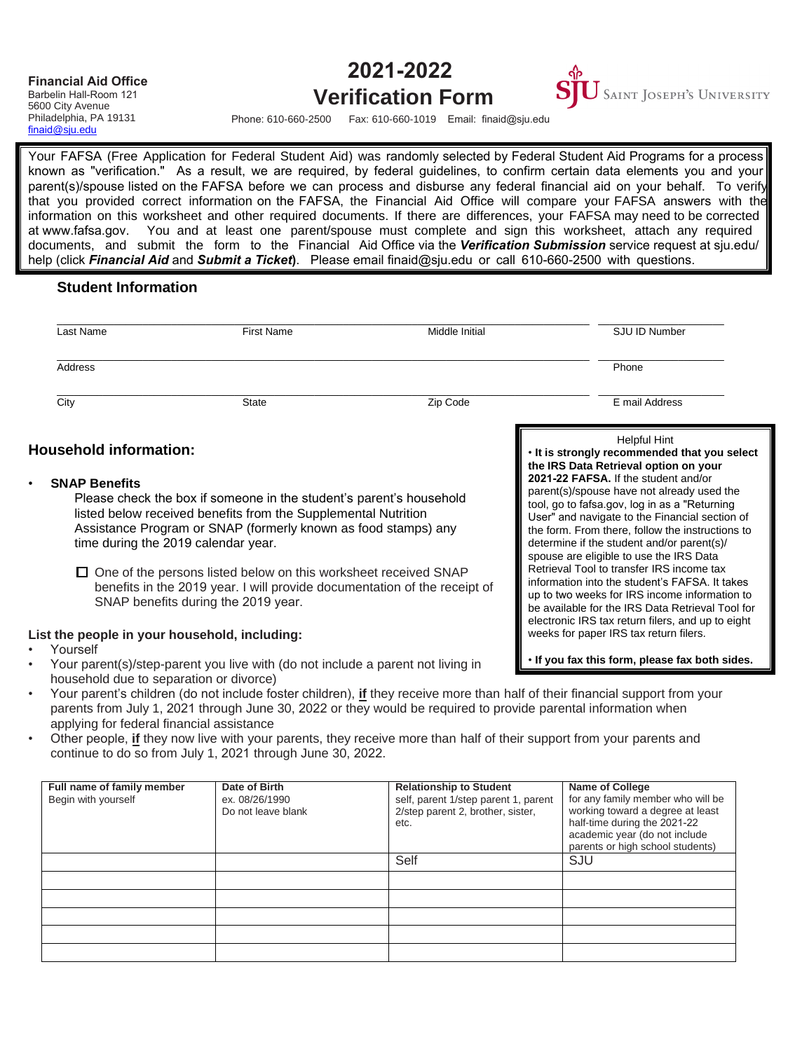### **Financial Aid Office** Barbelin Hall-Room 121

## **2021-2022**



5600 City Avenue [Philadelphia, PA 19131](mailto:finaid@sju.edu) finaid@sju.edu

# **Verification Form**

Phone: 610-660-2500 Fax: 610-660-1019 Email: finaid@sju.edu

Your FAFSA (Free Application for Federal Student Aid) was randomly selected by Federal Student Aid Programs for a process known as "verification." As a result, we are required, by federal guidelines, to confirm certain data elements you and your parent(s)/spouse listed on the FAFSA before we can process and disburse any federal financial aid on your behalf. To verify that you provided correct information on the FAFSA, the Financial Aid Office will compare your FAFSA answers with the information on this worksheet and other required documents. If there are differences, your FAFSA may need to be corrected at www.fafsa.gov. You and at least one parent/spouse must complete and sign this worksheet, attach any required documents, and submit the form to the Financial Aid Office via the *Verification Submission* service request at sju.edu/ help (click *Financial Aid* and *Submit a Ticket***)**. Please email finaid@sju.edu or call 610-660-2500 with questions.

## **Student Information**

| Last Name                                                                                                                                                                                                                                                              | <b>First Name</b>                                                                                                                                                                          | Middle Initial | SJU ID Number                                                                                                                                                                                                                                                                                                                                                               |
|------------------------------------------------------------------------------------------------------------------------------------------------------------------------------------------------------------------------------------------------------------------------|--------------------------------------------------------------------------------------------------------------------------------------------------------------------------------------------|----------------|-----------------------------------------------------------------------------------------------------------------------------------------------------------------------------------------------------------------------------------------------------------------------------------------------------------------------------------------------------------------------------|
| Address                                                                                                                                                                                                                                                                |                                                                                                                                                                                            |                | Phone                                                                                                                                                                                                                                                                                                                                                                       |
| City                                                                                                                                                                                                                                                                   | <b>State</b>                                                                                                                                                                               | Zip Code       | E mail Address                                                                                                                                                                                                                                                                                                                                                              |
| <b>Household information:</b>                                                                                                                                                                                                                                          |                                                                                                                                                                                            |                | <b>Helpful Hint</b><br>. It is strongly recommended that you select                                                                                                                                                                                                                                                                                                         |
| <b>SNAP Benefits</b><br>Please check the box if someone in the student's parent's household<br>listed below received benefits from the Supplemental Nutrition<br>Assistance Program or SNAP (formerly known as food stamps) any<br>time during the 2019 calendar year. |                                                                                                                                                                                            |                | the IRS Data Retrieval option on your<br>2021-22 FAFSA. If the student and/or<br>parent(s)/spouse have not already used the<br>tool, go to fafsa.gov, log in as a "Returning<br>User" and navigate to the Financial section of<br>the form. From there, follow the instructions to<br>determine if the student and/or parent(s)/<br>spouse are eligible to use the IRS Data |
|                                                                                                                                                                                                                                                                        | $\Box$ One of the persons listed below on this worksheet received SNAP<br>benefits in the 2019 year. I will provide documentation of the receipt of<br>SNAP benefits during the 2019 year. |                | Retrieval Tool to transfer IRS income tax<br>information into the student's FAFSA. It takes<br>up to two weeks for IRS income information to<br>be available for the IRS Data Retrieval Tool for<br>electronic IRS tax return filers, and up to eight                                                                                                                       |
| Yourself                                                                                                                                                                                                                                                               | List the people in your household, including:                                                                                                                                              |                | weeks for paper IRS tax return filers.                                                                                                                                                                                                                                                                                                                                      |
|                                                                                                                                                                                                                                                                        | Your parent(s)/step-parent you live with (do not include a parent not living in                                                                                                            |                | . If you fax this form, please fax both sides.                                                                                                                                                                                                                                                                                                                              |

- household due to separation or divorce)
- Your parent's children (do not include foster children), **if** they receive more than half of their financial support from your parents from July 1, 2021 through June 30, 2022 or they would be required to provide parental information when applying for federal financial assistance
- Other people, **if** they now live with your parents, they receive more than half of their support from your parents and continue to do so from July 1, 2021 through June 30, 2022.

| Full name of family member<br>Begin with yourself | Date of Birth<br>ex. 08/26/1990<br>Do not leave blank | <b>Relationship to Student</b><br>self, parent 1/step parent 1, parent<br>2/step parent 2, brother, sister,<br>etc. | <b>Name of College</b><br>for any family member who will be<br>working toward a degree at least<br>half-time during the 2021-22<br>academic year (do not include<br>parents or high school students) |
|---------------------------------------------------|-------------------------------------------------------|---------------------------------------------------------------------------------------------------------------------|------------------------------------------------------------------------------------------------------------------------------------------------------------------------------------------------------|
|                                                   |                                                       | Self                                                                                                                | SJU                                                                                                                                                                                                  |
|                                                   |                                                       |                                                                                                                     |                                                                                                                                                                                                      |
|                                                   |                                                       |                                                                                                                     |                                                                                                                                                                                                      |
|                                                   |                                                       |                                                                                                                     |                                                                                                                                                                                                      |
|                                                   |                                                       |                                                                                                                     |                                                                                                                                                                                                      |
|                                                   |                                                       |                                                                                                                     |                                                                                                                                                                                                      |